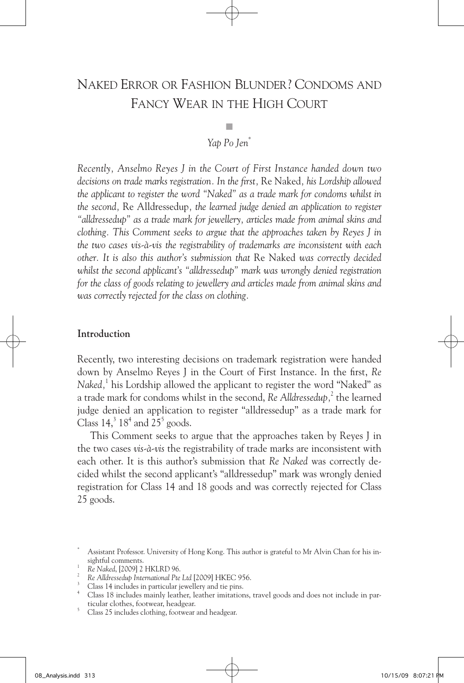# Naked Error or Fashion Blunder? Condoms and Fancy Wear in the High Court

# ■ *Yap Po Jen\**

*Recently, Anselmo Reyes J in the Court of First Instance handed down two decisions on trade marks registration. In the first,* Re Naked*, his Lordship allowed the applicant to register the word "Naked" as a trade mark for condoms whilst in the second,* Re Alldressedup*, the learned judge denied an application to register "alldressedup" as a trade mark for jewellery, articles made from animal skins and clothing. This Comment seeks to argue that the approaches taken by Reyes J in the two cases vis-à-vis the registrability of trademarks are inconsistent with each other. It is also this author's submission that* Re Naked *was correctly decided whilst the second applicant's "alldressedup" mark was wrongly denied registration for the class of goods relating to jewellery and articles made from animal skins and was correctly rejected for the class on clothing.* 

## **Introduction**

Recently, two interesting decisions on trademark registration were handed down by Anselmo Reyes J in the Court of First Instance. In the first, *Re Naked,*<sup>1</sup> his Lordship allowed the applicant to register the word "Naked" as a trade mark for condoms whilst in the second, Re Alldressedup,<sup>2</sup> the learned judge denied an application to register "alldressedup" as a trade mark for Class  $14$ ,  $3^{3}$  18<sup>4</sup> and  $25^{5}$  goods.

This Comment seeks to argue that the approaches taken by Reyes J in the two cases *vis-à-vis* the registrability of trade marks are inconsistent with each other. It is this author's submission that *Re Naked* was correctly decided whilst the second applicant's "alldressedup" mark was wrongly denied registration for Class 14 and 18 goods and was correctly rejected for Class 25 goods.

Assistant Professor. University of Hong Kong. This author is grateful to Mr Alvin Chan for his insightful comments.

<sup>&</sup>lt;sup>1</sup> Re Naked, [2009] 2 HKLRD 96.<br><sup>2</sup> Re Alldressedup International Pte Ltd [2009] HKEC 956.

<sup>&</sup>lt;sup>3</sup> Class 14 includes in particular jewellery and tie pins.<br><sup>4</sup> Class 18 includes mainly leather, leather imitations, travel goods and does not include in particular clothes, footwear, headgear.

 $t_1$ <sup>5</sup> Class 25 includes clothing, footwear and headgear.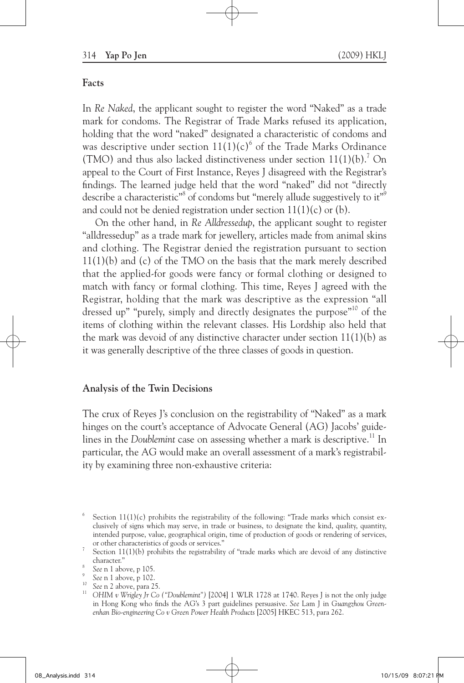#### **Facts**

In *Re Naked*, the applicant sought to register the word "Naked" as a trade mark for condoms. The Registrar of Trade Marks refused its application, holding that the word "naked" designated a characteristic of condoms and was descriptive under section  $11(1)(c)^6$  of the Trade Marks Ordinance (TMO) and thus also lacked distinctiveness under section  $11(1)(b)$ .<sup>7</sup> On appeal to the Court of First Instance, Reyes J disagreed with the Registrar's findings. The learned judge held that the word "naked" did not "directly describe a characteristic"<sup>8</sup> of condoms but "merely allude suggestively to it"<sup>9</sup> and could not be denied registration under section 11(1)(c) or (b).

On the other hand, in *Re Alldressedup*, the applicant sought to register "alldressedup" as a trade mark for jewellery, articles made from animal skins and clothing. The Registrar denied the registration pursuant to section 11(1)(b) and (c) of the TMO on the basis that the mark merely described that the applied-for goods were fancy or formal clothing or designed to match with fancy or formal clothing. This time, Reyes J agreed with the Registrar, holding that the mark was descriptive as the expression "all dressed up" "purely, simply and directly designates the purpose"<sup>10</sup> of the items of clothing within the relevant classes. His Lordship also held that the mark was devoid of any distinctive character under section  $11(1)(b)$  as it was generally descriptive of the three classes of goods in question.

#### **Analysis of the Twin Decisions**

The crux of Reyes J's conclusion on the registrability of "Naked" as a mark hinges on the court's acceptance of Advocate General (AG) Jacobs' guidelines in the *Doublemint* case on assessing whether a mark is descriptive.<sup>11</sup> In particular, the AG would make an overall assessment of a mark's registrability by examining three non-exhaustive criteria:

Section 11(1)(c) prohibits the registrability of the following: "Trade marks which consist exclusively of signs which may serve, in trade or business, to designate the kind, quality, quantity, intended purpose, value, geographical origin, time of production of goods or rendering of services,

or other characteristics of goods or services." 7 Section 11(1)(b) prohibits the registrability of "trade marks which are devoid of any distinctive character."<br>See n 1 above, p 105.

<sup>9</sup> *See* n 1 above, p 102.

<sup>10</sup> *See* n 2 above, para 25.

<sup>11</sup> *OHIM v Wrigley Jr Co ("Doublemint")* [2004] 1 WLR 1728 at 1740. Reyes J is not the only judge in Hong Kong who finds the AG's 3 part guidelines persuasive. *See* Lam J in *Guangzhou Greenenhan Bio-engineering Co v Green Power Health Products* [2005] HKEC 513, para 262.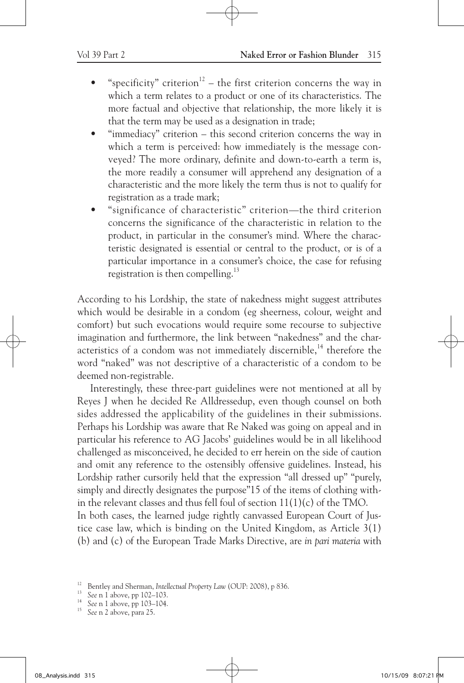- "specificity" criterion<sup>12</sup> the first criterion concerns the way in which a term relates to a product or one of its characteristics. The more factual and objective that relationship, the more likely it is that the term may be used as a designation in trade;
- "immediacy" criterion this second criterion concerns the way in which a term is perceived: how immediately is the message conveyed? The more ordinary, definite and down-to-earth a term is, the more readily a consumer will apprehend any designation of a characteristic and the more likely the term thus is not to qualify for registration as a trade mark;
- "significance of characteristic" criterion—the third criterion concerns the significance of the characteristic in relation to the product, in particular in the consumer's mind. Where the characteristic designated is essential or central to the product, or is of a particular importance in a consumer's choice, the case for refusing registration is then compelling. $^{13}$

According to his Lordship, the state of nakedness might suggest attributes which would be desirable in a condom (eg sheerness, colour, weight and comfort) but such evocations would require some recourse to subjective imagination and furthermore, the link between "nakedness" and the characteristics of a condom was not immediately discernible,<sup>14</sup> therefore the word "naked" was not descriptive of a characteristic of a condom to be deemed non-registrable.

Interestingly, these three-part guidelines were not mentioned at all by Reyes J when he decided Re Alldressedup, even though counsel on both sides addressed the applicability of the guidelines in their submissions. Perhaps his Lordship was aware that Re Naked was going on appeal and in particular his reference to AG Jacobs' guidelines would be in all likelihood challenged as misconceived, he decided to err herein on the side of caution and omit any reference to the ostensibly offensive guidelines. Instead, his Lordship rather cursorily held that the expression "all dressed up" "purely, simply and directly designates the purpose"15 of the items of clothing within the relevant classes and thus fell foul of section 11(1)(c) of the TMO. In both cases, the learned judge rightly canvassed European Court of Justice case law, which is binding on the United Kingdom, as Article 3(1) (b) and (c) of the European Trade Marks Directive, are *in pari materia* with

<sup>&</sup>lt;sup>12</sup> Bentley and Sherman, *Intellectual Property Law* (OUP: 2008), p 836.

<sup>13</sup> *See* n 1 above, pp 102–103.

<sup>&</sup>lt;sup>14</sup> See n 1 above, pp 103–104.<br><sup>15</sup> See n 2 above, pp 25

See n 2 above, para 25.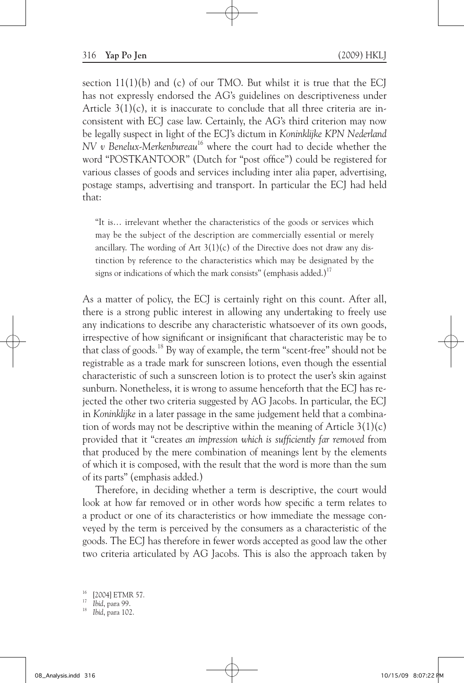section  $11(1)(b)$  and (c) of our TMO. But whilst it is true that the ECI has not expressly endorsed the AG's guidelines on descriptiveness under Article  $3(1)(c)$ , it is inaccurate to conclude that all three criteria are inconsistent with ECJ case law. Certainly, the AG's third criterion may now be legally suspect in light of the ECJ's dictum in *Koninklijke KPN Nederland NV v Benelux-Merkenbureau*<sup>16</sup> where the court had to decide whether the word "POSTKANTOOR" (Dutch for "post office") could be registered for various classes of goods and services including inter alia paper, advertising, postage stamps, advertising and transport. In particular the ECJ had held that:

"It is… irrelevant whether the characteristics of the goods or services which may be the subject of the description are commercially essential or merely ancillary. The wording of Art  $3(1)(c)$  of the Directive does not draw any distinction by reference to the characteristics which may be designated by the signs or indications of which the mark consists" (emphasis added.)<sup>17</sup>

As a matter of policy, the ECJ is certainly right on this count. After all, there is a strong public interest in allowing any undertaking to freely use any indications to describe any characteristic whatsoever of its own goods, irrespective of how significant or insignificant that characteristic may be to that class of goods.<sup>18</sup> By way of example, the term "scent-free" should not be registrable as a trade mark for sunscreen lotions, even though the essential characteristic of such a sunscreen lotion is to protect the user's skin against sunburn. Nonetheless, it is wrong to assume henceforth that the ECJ has rejected the other two criteria suggested by AG Jacobs. In particular, the ECJ in *Koninklijke* in a later passage in the same judgement held that a combination of words may not be descriptive within the meaning of Article  $3(1)(c)$ provided that it "creates *an impression which is sufficiently far removed* from that produced by the mere combination of meanings lent by the elements of which it is composed, with the result that the word is more than the sum of its parts" (emphasis added.)

Therefore, in deciding whether a term is descriptive, the court would look at how far removed or in other words how specific a term relates to a product or one of its characteristics or how immediate the message conveyed by the term is perceived by the consumers as a characteristic of the goods. The ECJ has therefore in fewer words accepted as good law the other two criteria articulated by AG Jacobs. This is also the approach taken by

<sup>[2004]</sup> ETMR 57.

<sup>17</sup> *Ibid*, para 99.

<sup>18</sup> *Ibid*, para 102.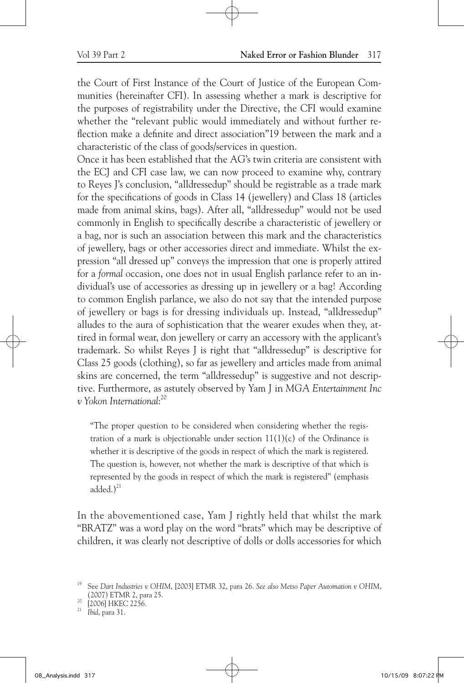the Court of First Instance of the Court of Justice of the European Communities (hereinafter CFI). In assessing whether a mark is descriptive for the purposes of registrability under the Directive, the CFI would examine whether the "relevant public would immediately and without further reflection make a definite and direct association"19 between the mark and a characteristic of the class of goods/services in question.

Once it has been established that the AG's twin criteria are consistent with the ECJ and CFI case law, we can now proceed to examine why, contrary to Reyes J's conclusion, "alldressedup" should be registrable as a trade mark for the specifications of goods in Class 14 (jewellery) and Class 18 (articles made from animal skins, bags). After all, "alldressedup" would not be used commonly in English to specifically describe a characteristic of jewellery or a bag, nor is such an association between this mark and the characteristics of jewellery, bags or other accessories direct and immediate. Whilst the expression "all dressed up" conveys the impression that one is properly attired for a *formal* occasion, one does not in usual English parlance refer to an individual's use of accessories as dressing up in jewellery or a bag! According to common English parlance, we also do not say that the intended purpose of jewellery or bags is for dressing individuals up. Instead, "alldressedup" alludes to the aura of sophistication that the wearer exudes when they, attired in formal wear, don jewellery or carry an accessory with the applicant's trademark. So whilst Reyes J is right that "alldressedup" is descriptive for Class 25 goods (clothing), so far as jewellery and articles made from animal skins are concerned, the term "alldressedup" is suggestive and not descriptive. Furthermore, as astutely observed by Yam J in *MGA Entertainment Inc v Yokon International*: 20

"The proper question to be considered when considering whether the registration of a mark is objectionable under section  $11(1)(c)$  of the Ordinance is whether it is descriptive of the goods in respect of which the mark is registered. The question is, however, not whether the mark is descriptive of that which is represented by the goods in respect of which the mark is registered" (emphasis added. $)^{21}$ 

In the abovementioned case, Yam J rightly held that whilst the mark "BRATZ" was a word play on the word "brats" which may be descriptive of children, it was clearly not descriptive of dolls or dolls accessories for which

<sup>19</sup> See *Dart Industries v OHIM*, [2003] ETMR 32, para 26. *See also Metso Paper Automation v OHIM*, (2007) ETMR 2, para 25.<br><sup>20</sup> [2006] HKEC 2256.<br><sup>21</sup> Ibid. para 31.

<sup>21</sup> *Ibid*, para 31.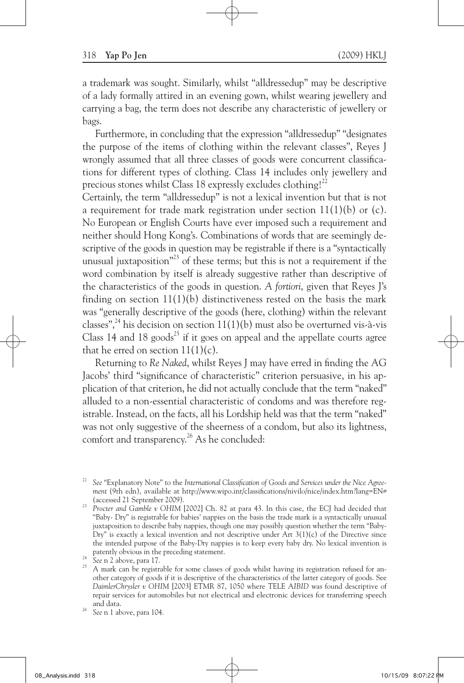a trademark was sought. Similarly, whilst "alldressedup" may be descriptive of a lady formally attired in an evening gown, whilst wearing jewellery and carrying a bag, the term does not describe any characteristic of jewellery or bags.

Furthermore, in concluding that the expression "alldressedup" "designates the purpose of the items of clothing within the relevant classes", Reyes J wrongly assumed that all three classes of goods were concurrent classifications for different types of clothing. Class 14 includes only jewellery and precious stones whilst Class 18 expressly excludes clothing!<sup>22</sup>

Certainly, the term "alldressedup" is not a lexical invention but that is not a requirement for trade mark registration under section  $11(1)(b)$  or (c). No European or English Courts have ever imposed such a requirement and neither should Hong Kong's. Combinations of words that are seemingly descriptive of the goods in question may be registrable if there is a "syntactically unusual juxtaposition $^{323}$  of these terms; but this is not a requirement if the word combination by itself is already suggestive rather than descriptive of the characteristics of the goods in question. *A fortiori*, given that Reyes J's finding on section  $11(1)(b)$  distinctiveness rested on the basis the mark was "generally descriptive of the goods (here, clothing) within the relevant classes",  $24$  his decision on section 11(1)(b) must also be overturned vis-à-vis Class 14 and 18 goods<sup>25</sup> if it goes on appeal and the appellate courts agree that he erred on section  $11(1)(c)$ .

Returning to *Re Naked*, whilst Reyes J may have erred in finding the AG Jacobs' third "significance of characteristic" criterion persuasive, in his application of that criterion, he did not actually conclude that the term "naked" alluded to a non-essential characteristic of condoms and was therefore registrable. Instead, on the facts, all his Lordship held was that the term "naked" was not only suggestive of the sheerness of a condom, but also its lightness, comfort and transparency.<sup>26</sup> As he concluded:

<sup>22</sup> *See* "Explanatory Note" to the *International Classification of Goods and Services under the Nice Agreement* (9th edn), available at http://www.wipo.int/classifications/nivilo/nice/index.htm?lang=EN# (accessed 21 September 2009).

<sup>&</sup>lt;sup>23</sup> *Procter and Gamble v OHIM* [2002] Ch. 82 at para 43. In this case, the ECJ had decided that "Baby- Dry" is registrable for babies' nappies on the basis the trade mark is a syntactically unusual juxtaposition to describe baby nappies, though one may possibly question whether the term "Baby-Dry" is exactly a lexical invention and not descriptive under Art  $3(1)(c)$  of the Directive since the intended purpose of the Baby-Dry nappies is to keep every baby dry. No lexical invention is patently obvious in the preceding statement.

<sup>&</sup>lt;sup>24</sup> See n 2 above, para 17.<br><sup>25</sup> A mark can be registrable for some classes of goods whilst having its registration refused for another category of goods if it is descriptive of the characteristics of the latter category of goods. See *DaimlerChrysler v OHIM* [2003] ETMR 87, 1050 where TELE A*IBID* was found descriptive of repair services for automobiles but not electrical and electronic devices for transferring speech

<sup>&</sup>lt;sup>26</sup> See n 1 above, para 104.